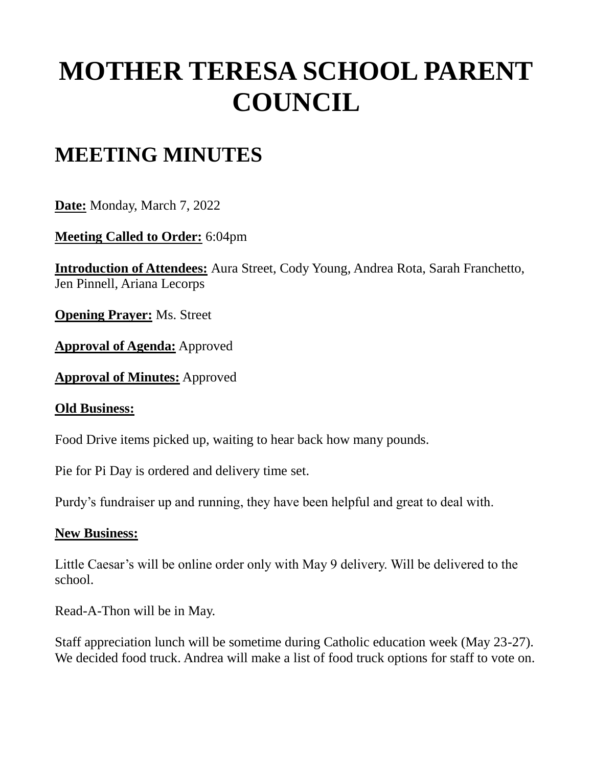# **MOTHER TERESA SCHOOL PARENT COUNCIL**

## **MEETING MINUTES**

**Date:** Monday, March 7, 2022

**Meeting Called to Order:** 6:04pm

**Introduction of Attendees:** Aura Street, Cody Young, Andrea Rota, Sarah Franchetto, Jen Pinnell, Ariana Lecorps

**Opening Prayer:** Ms. Street

**Approval of Agenda:** Approved

**Approval of Minutes:** Approved

#### **Old Business:**

Food Drive items picked up, waiting to hear back how many pounds.

Pie for Pi Day is ordered and delivery time set.

Purdy's fundraiser up and running, they have been helpful and great to deal with.

#### **New Business:**

Little Caesar's will be online order only with May 9 delivery. Will be delivered to the school.

Read-A-Thon will be in May.

Staff appreciation lunch will be sometime during Catholic education week (May 23-27). We decided food truck. Andrea will make a list of food truck options for staff to vote on.